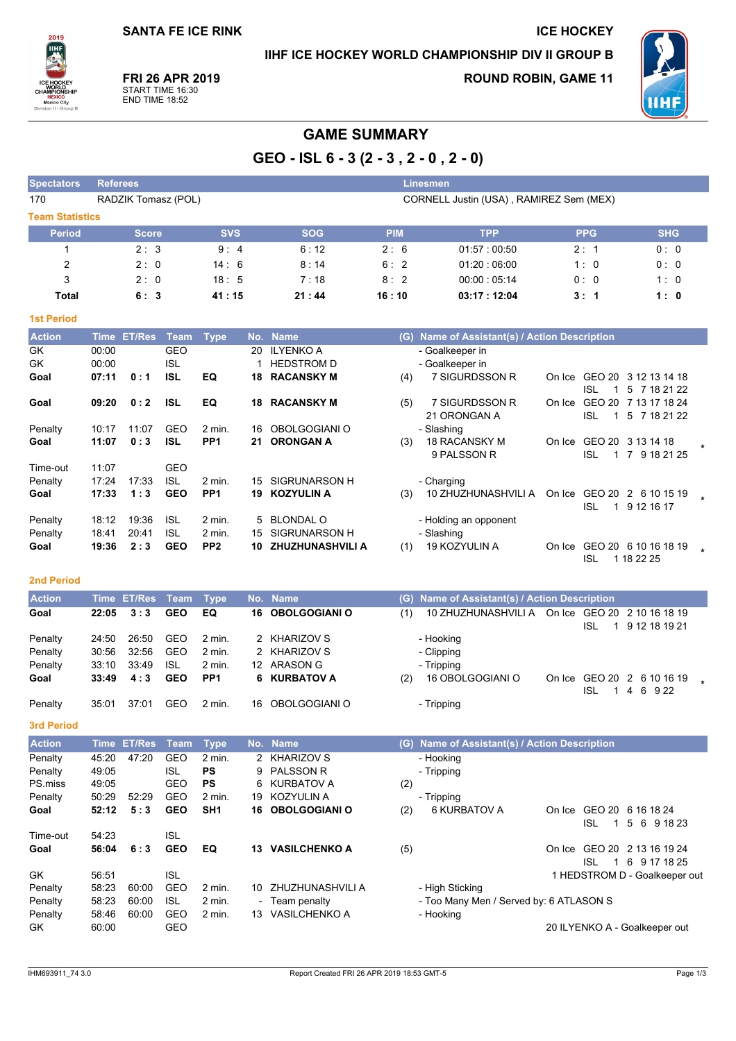## IIHF ICE HOCKEY WORLD CHAMPIONSHIP DIV II GROUP B

**ICE HOCKEY** 

2019 **ULL WORL**<br>CHAMPIO MEXICO<br>Mexico City

FRI 26 APR 2019 START TIME 16:30<br>END TIME 18:52

**ROUND ROBIN, GAME 11** 



# **GAME SUMMARY**

GEO - ISL  $6 - 3(2 - 3, 2 - 0, 2 - 0)$ 

| <b>Spectators</b>      | <b>Referees</b><br>Linesmen                                    |            |            |            |             |            |            |  |  |  |  |  |
|------------------------|----------------------------------------------------------------|------------|------------|------------|-------------|------------|------------|--|--|--|--|--|
| 170                    | CORNELL Justin (USA), RAMIREZ Sem (MEX)<br>RADZIK Tomasz (POL) |            |            |            |             |            |            |  |  |  |  |  |
| <b>Team Statistics</b> |                                                                |            |            |            |             |            |            |  |  |  |  |  |
| <b>Period</b>          | <b>Score</b>                                                   | <b>SVS</b> | <b>SOG</b> | <b>PIM</b> | <b>TPP</b>  | <b>PPG</b> | <b>SHG</b> |  |  |  |  |  |
|                        | 2:3                                                            | 9:4        | 6:12       | 2:6        | 01:57:00:50 | 2:1        | 0:0        |  |  |  |  |  |
| 2                      | 2:0                                                            | 14:6       | 8:14       | 6:2        | 01.20:06.00 | 1:0        | 0:0        |  |  |  |  |  |
| 3                      | 2:0                                                            | 18:5       | 7:18       | 8:2        | 00:00:05:14 | 0:0        | 1:0        |  |  |  |  |  |
| Total                  | 6:3                                                            | 41:15      | 21:44      | 16:10      | 03:17:12:04 | 3:1        | 1:0        |  |  |  |  |  |

#### **1st Period**

| <b>Action</b> | Time  | <b>ET/Res</b> | Team       | <b>Type</b>       |     | No. Name                | (G) | Name of Assistant(s) / Action Description |        |               |                 |  |
|---------------|-------|---------------|------------|-------------------|-----|-------------------------|-----|-------------------------------------------|--------|---------------|-----------------|--|
| GK            | 00:00 |               | GEO        |                   | 20  | <b>ILYENKO A</b>        |     | - Goalkeeper in                           |        |               |                 |  |
| GK            | 00:00 |               | ISL        |                   |     | <b>HEDSTROM D</b>       |     | - Goalkeeper in                           |        |               |                 |  |
| Goal          | 07:11 | 0:1           | ISL        | EQ                | 18  | <b>RACANSKY M</b>       | (4) | 7 SIGURDSSON R                            | On Ice | GEO 20        | 3 12 13 14 18   |  |
|               |       |               |            |                   |     |                         |     |                                           |        | ISL           | 5<br>7 18 21 22 |  |
| Goal          | 09:20 | 0:2           | <b>ISL</b> | EQ                | 18. | <b>RACANSKY M</b>       | (5) | 7 SIGURDSSON R                            | On Ice | GEO 20        | 7 13 17 18 24   |  |
|               |       |               |            |                   |     |                         |     | 21 ORONGAN A                              |        | ISL           | 5 7 18 21 22    |  |
| Penalty       | 10:17 | 11:07         | GEO        | $2 \text{ min}$ . | 16. | OBOLGOGIANI O           |     | - Slashing                                |        |               |                 |  |
| Goal          | 11:07 | 0:3           | ISL        | PP <sub>1</sub>   | 21. | <b>ORONGAN A</b>        | (3) | 18 RACANSKY M                             | On Ice | GEO 20        | 3 13 14 18      |  |
|               |       |               |            |                   |     |                         |     | 9 PALSSON R                               |        | ISL           | 9 18 21 25<br>7 |  |
| Time-out      | 11:07 |               | <b>GEO</b> |                   |     |                         |     |                                           |        |               |                 |  |
| Penalty       | 17:24 | 17:33         | ISL        | $2$ min.          | 15  | SIGRUNARSON H           |     | - Charging                                |        |               |                 |  |
| Goal          | 17:33 | 1:3           | <b>GEO</b> | PP <sub>1</sub>   | 19  | <b>KOZYULIN A</b>       | (3) | 10 ZHUZHUNASHVILI A                       | On Ice | GEO 20        | 2 6 10 15 19    |  |
|               |       |               |            |                   |     |                         |     |                                           |        | <b>ISL</b>    | 9 12 16 17      |  |
| Penalty       | 18:12 | 19:36         | <b>ISL</b> | $2$ min.          | 5.  | <b>BLONDAL O</b>        |     | - Holding an opponent                     |        |               |                 |  |
| Penalty       | 18:41 | 20:41         | <b>ISL</b> | $2$ min.          | 15  | SIGRUNARSON H           |     | - Slashing                                |        |               |                 |  |
| Goal          | 19:36 | 2:3           | <b>GEO</b> | PP <sub>2</sub>   | 10. | <b>ZHUZHUNASHVILI A</b> | (1) | 19 KOZYULIN A                             | On Ice | <b>GEO 20</b> | 6 10 16 18 19   |  |
|               |       |               |            |                   |     |                         |     |                                           |        | ISL           | 1 18 22 25      |  |

### 2nd Period

| <b>Action</b>      |                | Time ET/Res Team Type |                          |                                        | No. Name                     |     | (G) Name of Assistant(s) / Action Description   |     |                            |  |
|--------------------|----------------|-----------------------|--------------------------|----------------------------------------|------------------------------|-----|-------------------------------------------------|-----|----------------------------|--|
| Goal               | 22:05          | 3:3                   | <b>GEO</b>               | EQ                                     | <b>16 OBOLGOGIANI O</b>      | (1) | 10 ZHUZHUNASHVILI A On Ice GEO 20 2 10 16 18 19 | ISL | 9 12 18 19 21              |  |
| Penalty<br>Penalty | 24:50<br>30:56 | 26.50<br>32:56        | GEO<br>GEO               | $2 \text{ min}$ .<br>$2 \text{ min}$ . | 2 KHARIZOV S<br>2 KHARIZOV S |     | - Hooking<br>- Clipping                         |     |                            |  |
| Penalty<br>Goal    | 33:10<br>33:49 | 33.49<br>4:3          | <b>ISL</b><br><b>GEO</b> | 2 min.<br>PP <sub>1</sub>              | 12 ARASON G<br>6 KURBATOV A  | (2) | - Tripping<br>16 OBOLGOGIANI O                  |     | On Ice GEO 20 2 6 10 16 19 |  |
| Penalty            | 35:01          | 37:01                 | GEO                      | 2 min.                                 | 16 OBOLGOGIANI O             |     | - Tripping                                      | ISL | 4 6 9 22                   |  |

3rd Period

| <b>Action</b> | Time  | <b>ET/Res</b> | Team       | Type            |     | No. Name             | (G) | Name of Assistant(s) / Action Description |        |     |                               |
|---------------|-------|---------------|------------|-----------------|-----|----------------------|-----|-------------------------------------------|--------|-----|-------------------------------|
| Penalty       | 45.20 | 47:20         | GEO        | $2$ min.        |     | 2 KHARIZOV S         |     | - Hooking                                 |        |     |                               |
| Penalty       | 49.05 |               | <b>ISL</b> | <b>PS</b>       | 9   | <b>PALSSON R</b>     |     | - Tripping                                |        |     |                               |
| PS.miss       | 49.05 |               | <b>GEO</b> | <b>PS</b>       | 6   | KURBATOV A           | (2) |                                           |        |     |                               |
| Penalty       | 50:29 | 52:29         | <b>GEO</b> | $2$ min.        | 19  | KOZYULIN A           |     | - Tripping                                |        |     |                               |
| Goal          | 52:12 | 5:3           | <b>GEO</b> | SH <sub>1</sub> | 16  | <b>OBOLGOGIANI O</b> | (2) | 6 KURBATOV A                              | On Ice |     | GEO 20 6 16 18 24             |
|               |       |               |            |                 |     |                      |     |                                           |        | ISL | 56<br>9 18 23                 |
| Time-out      | 54:23 |               | ISL        |                 |     |                      |     |                                           |        |     |                               |
| Goal          | 56:04 | 6:3           | <b>GEO</b> | EQ              | 13  | <b>VASILCHENKO A</b> | (5) |                                           | On Ice |     | GEO 20 2 13 16 19 24          |
|               |       |               |            |                 |     |                      |     |                                           |        | ISL | 6 9 17 18 25                  |
| <b>GK</b>     | 56:51 |               | ISL        |                 |     |                      |     |                                           |        |     | 1 HEDSTROM D - Goalkeeper out |
| Penalty       | 58:23 | 60:00         | <b>GEO</b> | $2$ min.        | 10  | ZHUZHUNASHVILI A     |     | - High Sticking                           |        |     |                               |
| Penalty       | 58:23 | 60:00         | <b>ISL</b> | $2$ min.        |     | - Team penalty       |     | - Too Many Men / Served by: 6 ATLASON S   |        |     |                               |
| Penalty       | 58:46 | 60:00         | <b>GEO</b> | $2$ min.        | 13. | <b>VASILCHENKO A</b> |     | - Hooking                                 |        |     |                               |
| GK.           | 60.00 |               | GEO        |                 |     |                      |     |                                           |        |     | 20 ILYENKO A - Goalkeeper out |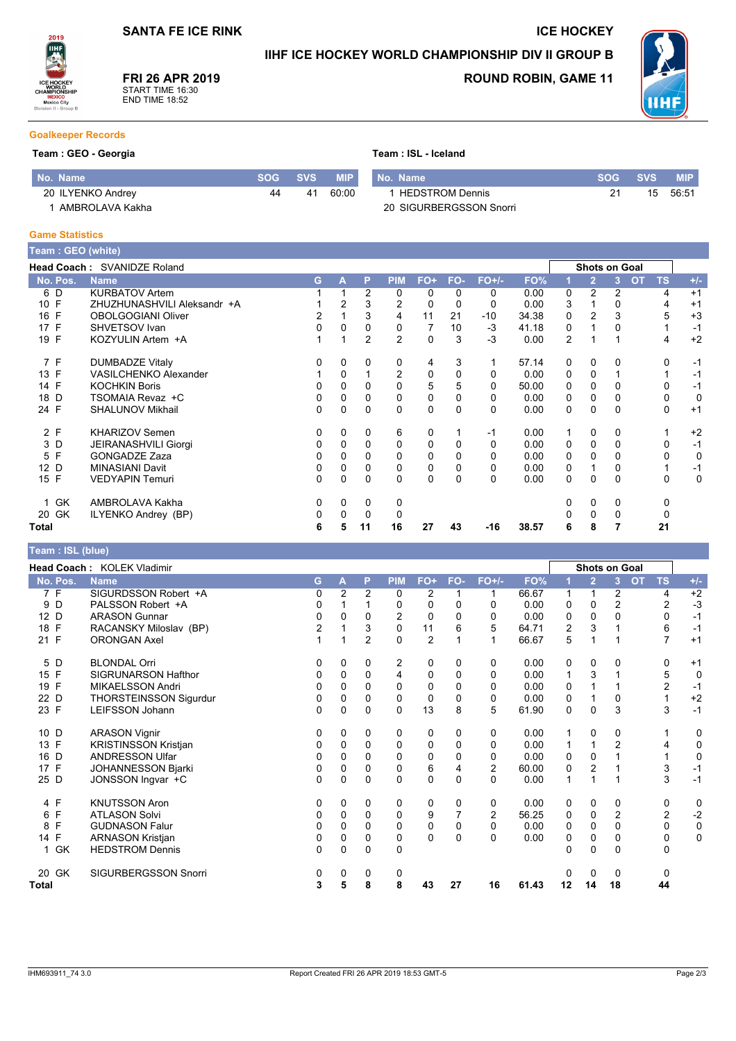# IIHF ICE HOCKEY WORLD CHAMPIONSHIP DIV II GROUP B



FRI 26 APR 2019 START TIME 16:30<br>END TIME 18:52

## **ROUND ROBIN, GAME 11**

**ICE HOCKEY** 



#### **Goalkeeper Records**

#### Team : GEO - Georgia

|  | Team: ISL - Iceland |
|--|---------------------|
|  |                     |

| l No. Name        | <b>SVS</b> | <b>MIP</b> | No. Name                | svs | <b>MIP</b> |
|-------------------|------------|------------|-------------------------|-----|------------|
| 20 ILYENKO Andrey | 41         | 60:00      | <b>HEDSTROM Dennis</b>  | 15  | 56:51      |
| AMBROLAVA Kakha   |            |            | 20 SIGURBERGSSON Snorri |     |            |

#### **Game Statistics**

| Team : GEO (w <u>hite)</u> |                              |   |          |                |                |             |          |          |       |          |                |                      |                        |             |
|----------------------------|------------------------------|---|----------|----------------|----------------|-------------|----------|----------|-------|----------|----------------|----------------------|------------------------|-------------|
|                            | Head Coach: SVANIDZE Roland  |   |          |                |                |             |          |          |       |          |                | <b>Shots on Goal</b> |                        |             |
| No. Pos.                   | <b>Name</b>                  | G | A        | P              | <b>PIM</b>     | $FO+$       | FO-      | $FO+/-$  | FO%   |          | $\overline{2}$ | 3                    | <b>OT</b><br><b>TS</b> | $+/-$       |
| 6 D                        | <b>KURBATOV Artem</b>        |   |          | 2              | 0              | 0           | 0        | 0        | 0.00  | 0        | 2              | 2                    | 4                      | $+1$        |
| 10 F                       | ZHUZHUNASHVILI Aleksandr +A  |   | 2        | 3              | 2              | 0           |          | 0        | 0.00  | 3        |                | 0                    | 4                      | $+1$        |
| F<br>16                    | <b>OBOLGOGIANI Oliver</b>    | 2 |          | 3              | 4              | 11          | 21       | $-10$    | 34.38 | 0        | $\overline{2}$ | 3                    | 5                      | $+3$        |
| 17 F                       | SHVETSOV Ivan                | 0 | 0        | 0              | 0              | 7           | 10       | -3       | 41.18 | 0        |                | 0                    |                        | $-1$        |
| E<br>19                    | KOZYULIN Artem +A            |   |          | $\overline{2}$ | $\overline{2}$ | $\mathbf 0$ | 3        | $-3$     | 0.00  | 2        |                |                      | 4                      | $+2$        |
| 7 F                        | <b>DUMBADZE Vitaly</b>       | 0 | 0        | 0              | 0              | 4           | 3        |          | 57.14 | 0        | $\mathbf{0}$   | 0                    | $\Omega$               | -1          |
| 13 F                       | <b>VASILCHENKO Alexander</b> |   | 0        |                | 2              | 0           | 0        | 0        | 0.00  | 0        | 0              |                      |                        | $-1$        |
| 14 F                       | <b>KOCHKIN Boris</b>         | 0 | $\Omega$ | $\Omega$       | $\Omega$       | 5           | 5        | $\Omega$ | 50.00 | 0        | $\mathbf{0}$   | $\Omega$             | $\Omega$               | -1          |
| 18 D                       | TSOMAIA Revaz +C             | 0 | 0        | 0              | 0              | 0           | 0        | 0        | 0.00  | 0        | 0              | 0                    | 0                      | $\mathbf 0$ |
| 24 F                       | <b>SHALUNOV Mikhail</b>      | 0 | $\Omega$ | $\Omega$       | $\Omega$       | $\Omega$    | $\Omega$ | $\Omega$ | 0.00  | 0        | $\mathbf{0}$   | $\Omega$             | $\Omega$               | $+1$        |
| 2 F                        | <b>KHARIZOV Semen</b>        | 0 | 0        | $\Omega$       | 6              | 0           |          | -1       | 0.00  | 1        | 0              | 0                    |                        | $+2$        |
| 3 D                        | <b>JEIRANASHVILI Giorgi</b>  | 0 | 0        | 0              | 0              | 0           | 0        | 0        | 0.00  | 0        | $\mathbf{0}$   | 0                    | 0                      | $-1$        |
| F<br>5                     | <b>GONGADZE Zaza</b>         | 0 | 0        | $\Omega$       | 0              | 0           | $\Omega$ | $\Omega$ | 0.00  | $\Omega$ | $\mathbf{0}$   | 0                    | $\Omega$               | 0           |
| 12 D                       | <b>MINASIANI Davit</b>       | 0 | 0        | 0              | 0              | $\mathbf 0$ | 0        | 0        | 0.00  | 0        |                | 0                    |                        | $-1$        |
| F<br>15                    | <b>VEDYAPIN Temuri</b>       | 0 | $\Omega$ | $\Omega$       | $\Omega$       | $\mathbf 0$ | $\Omega$ | $\Omega$ | 0.00  | 0        | $\mathbf{0}$   | $\Omega$             | $\Omega$               | $\mathbf 0$ |
| 1 GK                       | AMBROLAVA Kakha              | 0 | 0        | 0              | 0              |             |          |          |       | 0        | 0              | 0                    | 0                      |             |
| 20 GK                      | ILYENKO Andrey (BP)          | 0 | 0        | $\Omega$       | 0              |             |          |          |       |          | $\mathbf{0}$   | 0                    | 0                      |             |
| Total                      |                              | 6 | 5        | 11             | 16             | 27          | 43       | $-16$    | 38.57 | 6        | 8              |                      | 21                     |             |

### Team : ISL (blue)

|                 | Head Coach: KOLEK Vladimir  |                         |          |                |            |                |             |          |       |              | <b>Shots on Goal</b> |                |                        |                        |
|-----------------|-----------------------------|-------------------------|----------|----------------|------------|----------------|-------------|----------|-------|--------------|----------------------|----------------|------------------------|------------------------|
| No. Pos.        | <b>Name</b>                 | G                       | А        | P              | <b>PIM</b> | FO+            | FO-         | FO+/-    | FO%   |              | $\overline{2}$       | 3              | <b>TS</b><br><b>OT</b> | $+/-$                  |
| 7 F             | SIGURDSSON Robert +A        | 0                       | 2        | $\overline{2}$ | 0          | 2              |             | 1        | 66.67 | 1            | 1                    | 2              |                        | $+2$<br>4              |
| D<br>9          | PALSSON Robert +A           | 0                       |          |                | 0          | $\Omega$       | 0           | 0        | 0.00  | 0            | 0                    | 2              |                        | $\overline{c}$<br>$-3$ |
| 12<br>D         | <b>ARASON Gunnar</b>        | 0                       | 0        | 0              | 2          | 0              | 0           | 0        | 0.00  | 0            | 0                    | 0              |                        | $-1$<br>0              |
| 18 F            | RACANSKY Miloslav (BP)      | $\overline{\mathbf{c}}$ |          | 3              | 0          | 11             | 6           | 5        | 64.71 | 2            | 3                    |                |                        | 6<br>$-1$              |
| 21 F            | <b>ORONGAN Axel</b>         |                         |          | $\overline{2}$ | $\Omega$   | $\overline{2}$ |             |          | 66.67 | 5            |                      |                |                        | $\overline{7}$<br>$+1$ |
| 5 D             | <b>BLONDAL Orri</b>         | 0                       | 0        | 0              | 2          | 0              | 0           | 0        | 0.00  | 0            | 0                    | 0              |                        | 0<br>$+1$              |
| F<br>15         | <b>SIGRUNARSON Hafthor</b>  | 0                       | 0        | 0              | 4          | 0              | 0           | $\Omega$ | 0.00  | $\mathbf{1}$ | 3                    |                |                        | 5<br>$\mathbf 0$       |
| F<br>19         | <b>MIKAELSSON Andri</b>     | 0                       | $\Omega$ | 0              | $\Omega$   | $\Omega$       | 0           | 0        | 0.00  | 0            |                      |                |                        | $\overline{2}$<br>$-1$ |
| D<br>22         | THORSTEINSSON Sigurdur      | 0                       | $\Omega$ | 0              | 0          | 0              | 0           | $\Omega$ | 0.00  | 0            |                      | 0              |                        | $+2$                   |
| 23 F            | <b>LEIFSSON Johann</b>      | 0                       | 0        | 0              | $\Omega$   | 13             | 8           | 5        | 61.90 | 0            | $\Omega$             | 3              |                        | 3<br>$-1$              |
| 10 D            | <b>ARASON Vignir</b>        | 0                       | 0        | 0              | 0          | 0              | 0           | 0        | 0.00  |              | 0                    | 0              |                        | 0                      |
| 13 F            | <b>KRISTINSSON Kristjan</b> | 0                       | $\Omega$ | $\Omega$       | 0          | $\mathbf 0$    | $\Omega$    | $\Omega$ | 0.00  | $\mathbf{1}$ |                      | $\overline{2}$ |                        | $\mathbf 0$<br>4       |
| D<br>16         | <b>ANDRESSON Ulfar</b>      | 0                       | $\Omega$ | $\Omega$       | $\Omega$   | $\Omega$       | 0           | $\Omega$ | 0.00  | 0            | $\Omega$             |                |                        | $\mathbf 0$            |
| F<br>17         | <b>JOHANNESSON Bjarki</b>   | 0                       | $\Omega$ | 0              | 0          | 6              | 4           | 2        | 60.00 | 0            | 2                    |                |                        | 3<br>$-1$              |
| 25 D            | JONSSON Ingvar +C           | 0                       | $\Omega$ | $\Omega$       | $\Omega$   | $\Omega$       | $\Omega$    | $\Omega$ | 0.00  | $\mathbf 1$  |                      |                |                        | 3<br>$-1$              |
| 4 F             | <b>KNUTSSON Aron</b>        | 0                       | 0        | 0              | 0          | 0              | 0           | 0        | 0.00  | 0            | 0                    | 0              |                        | 0<br>0                 |
| F<br>6          | <b>ATLASON Solvi</b>        | 0                       | 0        | 0              | $\Omega$   | 9              |             | 2        | 56.25 | 0            | 0                    | $\overline{c}$ |                        | $-2$<br>2              |
| F<br>8          | <b>GUDNASON Falur</b>       | 0                       | 0        | 0              | 0          | 0              | $\mathbf 0$ | 0        | 0.00  | 0            | 0                    | 0              |                        | 0<br>0                 |
| F<br>14         | <b>ARNASON Kristjan</b>     | 0                       | $\Omega$ | 0              | 0          | $\mathbf{0}$   | $\Omega$    | $\Omega$ | 0.00  | 0            | $\mathbf 0$          | 0              |                        | $\mathbf 0$<br>0       |
| 1 GK            | <b>HEDSTROM Dennis</b>      | 0                       | $\Omega$ | 0              | 0          |                |             |          |       | 0            | $\Omega$             | 0              |                        | $\Omega$               |
| <b>GK</b><br>20 | <b>SIGURBERGSSON Snorri</b> | 0                       | 0        | 0              | 0          |                |             |          |       |              | 0                    | 0              |                        | 0                      |
| Total           |                             | 3                       | 5        | 8              | 8          | 43             | 27          | 16       | 61.43 | 12           | 14                   | 18             | 44                     |                        |